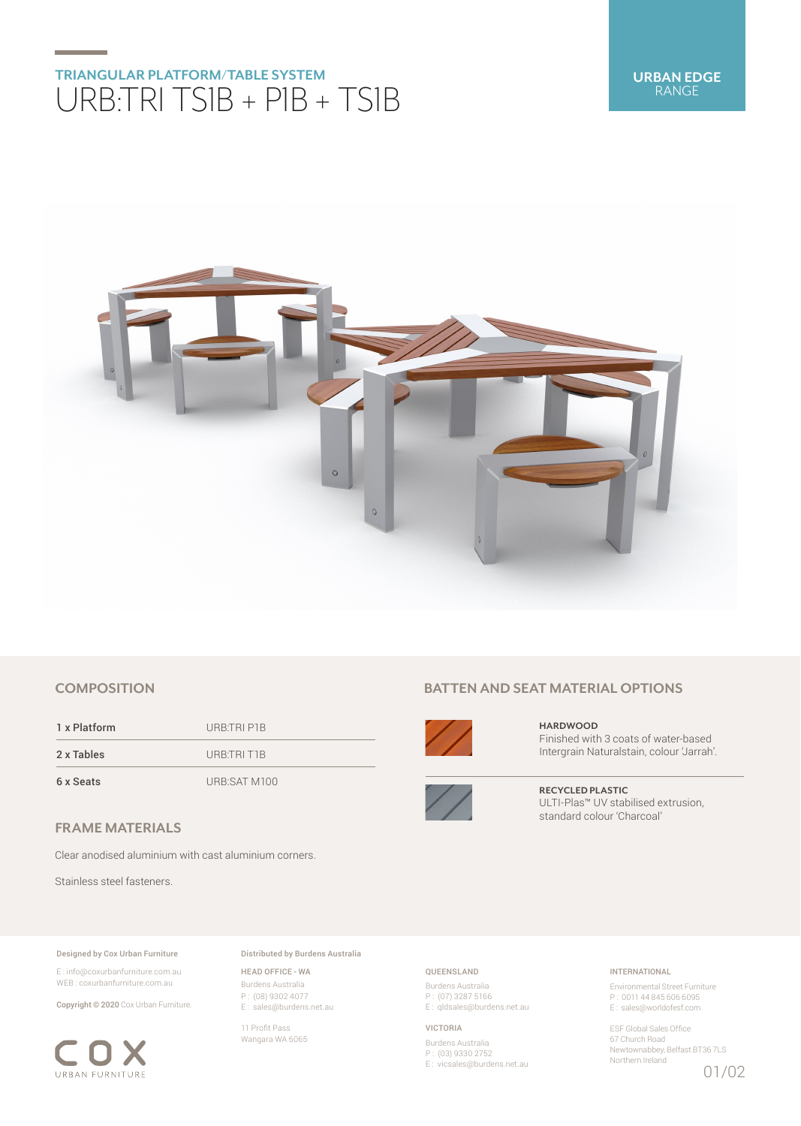## **TRIANGULAR PLATFORM/TABLE SYSTEM** URB:TRI TS1B + P1B + TS1B



### **COMPOSITION**

1 x Platform URB:TRI P1B 2 x Tables URB:TRI T1B 6 x Seats URB:SAT M100

**FRAME MATERIALS**

Clear anodised aluminium with cast aluminium corners.

Stainless steel fasteners.

#### Designed by Cox Urban Furniture

E : info@coxurbanfurniture.com.au WEB : coxurbanfurniture.com.au

Copyright © 2020 Cox Urban Furniture.



Distributed by Burdens Australia

HEAD OFFICE - WA Burdens Australia P : (08) 9302 4077 E : sales@burdens.net.au

11 Profit Pass Wangara WA 6065

## **BATTEN AND SEAT MATERIAL OPTIONS**



**HARDWOOD** Finished with 3 coats of water-based Intergrain Naturalstain, colour 'Jarrah'.



**RECYCLED PLASTIC** ULTI-Plas™ UV stabilised extrusion, standard colour 'Charcoal'

### QUEENSLAND

Burdens Australia P : (07) 3287 5166 E : qldsales@burdens.net.au

#### VICTORIA

Burdens Australia P : (03) 9330 2752 E : vicsales@burdens.net.au

### INTERNATIONAL

Environmental Street Furniture P : 0011 44 845 606 6095 E : sales@worldofesf.com

ESF Global Sales Office 67 Church Road Newtownabbey, Belfast BT36 7LS Northern Ireland